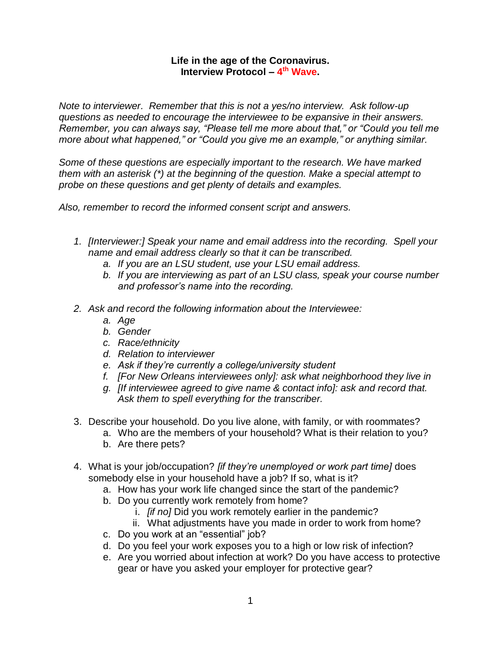## **Life in the age of the Coronavirus. Interview Protocol – 4 th Wave.**

*Note to interviewer. Remember that this is not a yes/no interview. Ask follow-up questions as needed to encourage the interviewee to be expansive in their answers. Remember, you can always say, "Please tell me more about that," or "Could you tell me more about what happened," or "Could you give me an example," or anything similar.*

*Some of these questions are especially important to the research. We have marked them with an asterisk (\*) at the beginning of the question. Make a special attempt to probe on these questions and get plenty of details and examples.*

*Also, remember to record the informed consent script and answers.*

- *1. [Interviewer:] Speak your name and email address into the recording. Spell your name and email address clearly so that it can be transcribed.*
	- *a. If you are an LSU student, use your LSU email address.*
	- *b. If you are interviewing as part of an LSU class, speak your course number and professor's name into the recording.*
- *2. Ask and record the following information about the Interviewee:* 
	- *a. Age*
	- *b. Gender*
	- *c. Race/ethnicity*
	- *d. Relation to interviewer*
	- *e. Ask if they're currently a college/university student*
	- *f. [For New Orleans interviewees only]: ask what neighborhood they live in*
	- *g. [If interviewee agreed to give name & contact info]: ask and record that. Ask them to spell everything for the transcriber.*
- 3. Describe your household. Do you live alone, with family, or with roommates?
	- a. Who are the members of your household? What is their relation to you?
	- b. Are there pets?
- 4. What is your job/occupation? *[if they're unemployed or work part time]* does somebody else in your household have a job? If so, what is it?
	- a. How has your work life changed since the start of the pandemic?
	- b. Do you currently work remotely from home?
		- i. *[if no]* Did you work remotely earlier in the pandemic?
		- ii. What adjustments have you made in order to work from home?
	- c. Do you work at an "essential" job?
	- d. Do you feel your work exposes you to a high or low risk of infection?
	- e. Are you worried about infection at work? Do you have access to protective gear or have you asked your employer for protective gear?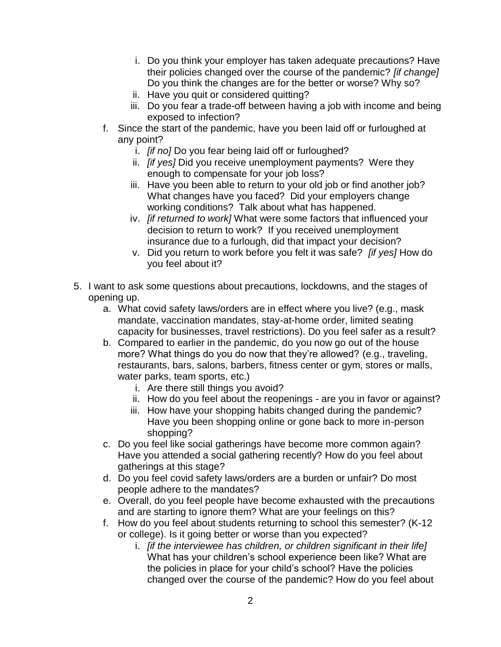- i. Do you think your employer has taken adequate precautions? Have their policies changed over the course of the pandemic? *[if change]* Do you think the changes are for the better or worse? Why so?
- ii. Have you quit or considered quitting?
- iii. Do you fear a trade-off between having a job with income and being exposed to infection?
- f. Since the start of the pandemic, have you been laid off or furloughed at any point?
	- i. *[if no]* Do you fear being laid off or furloughed?
	- ii. *[if yes]* Did you receive unemployment payments? Were they enough to compensate for your job loss?
	- iii. Have you been able to return to your old job or find another job? What changes have you faced? Did your employers change working conditions? Talk about what has happened.
	- iv. *[if returned to work]* What were some factors that influenced your decision to return to work? If you received unemployment insurance due to a furlough, did that impact your decision?
	- v. Did you return to work before you felt it was safe? *[if yes]* How do you feel about it?
- 5. I want to ask some questions about precautions, lockdowns, and the stages of opening up.
	- a. What covid safety laws/orders are in effect where you live? (e.g., mask mandate, vaccination mandates, stay-at-home order, limited seating capacity for businesses, travel restrictions). Do you feel safer as a result?
	- b. Compared to earlier in the pandemic, do you now go out of the house more? What things do you do now that they're allowed? (e.g., traveling, restaurants, bars, salons, barbers, fitness center or gym, stores or malls, water parks, team sports, etc.)
		- i. Are there still things you avoid?
		- ii. How do you feel about the reopenings are you in favor or against?
		- iii. How have your shopping habits changed during the pandemic? Have you been shopping online or gone back to more in-person shopping?
	- c. Do you feel like social gatherings have become more common again? Have you attended a social gathering recently? How do you feel about gatherings at this stage?
	- d. Do you feel covid safety laws/orders are a burden or unfair? Do most people adhere to the mandates?
	- e. Overall, do you feel people have become exhausted with the precautions and are starting to ignore them? What are your feelings on this?
	- f. How do you feel about students returning to school this semester? (K-12 or college). Is it going better or worse than you expected?
		- i. *[if the interviewee has children, or children significant in their life]* What has your children's school experience been like? What are the policies in place for your child's school? Have the policies changed over the course of the pandemic? How do you feel about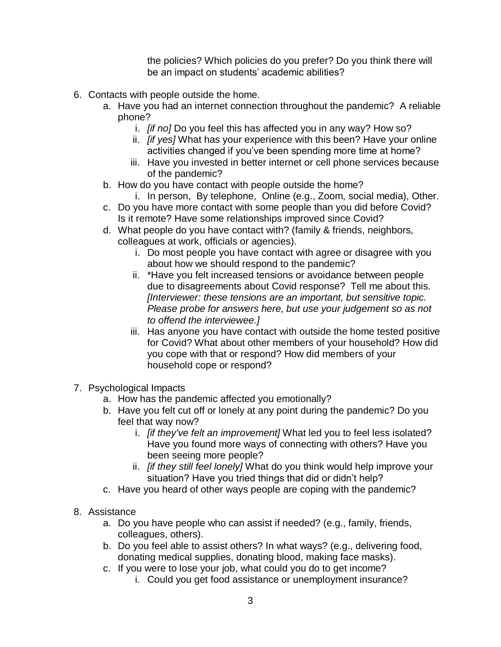the policies? Which policies do you prefer? Do you think there will be an impact on students' academic abilities?

- 6. Contacts with people outside the home.
	- a. Have you had an internet connection throughout the pandemic? A reliable phone?
		- i. *[if no]* Do you feel this has affected you in any way? How so?
		- ii. *[if yes]* What has your experience with this been? Have your online activities changed if you've been spending more time at home?
		- iii. Have you invested in better internet or cell phone services because of the pandemic?
	- b. How do you have contact with people outside the home?
		- i. In person, By telephone, Online (e.g., Zoom, social media), Other.
	- c. Do you have more contact with some people than you did before Covid? Is it remote? Have some relationships improved since Covid?
	- d. What people do you have contact with? (family & friends, neighbors, colleagues at work, officials or agencies).
		- i. Do most people you have contact with agree or disagree with you about how we should respond to the pandemic?
		- ii. \*Have you felt increased tensions or avoidance between people due to disagreements about Covid response? Tell me about this. *[Interviewer: these tensions are an important, but sensitive topic. Please probe for answers here, but use your judgement so as not to offend the interviewee.]*
		- iii. Has anyone you have contact with outside the home tested positive for Covid? What about other members of your household? How did you cope with that or respond? How did members of your household cope or respond?
- 7. Psychological Impacts
	- a. How has the pandemic affected you emotionally?
	- b. Have you felt cut off or lonely at any point during the pandemic? Do you feel that way now?
		- i. *[if they've felt an improvement]* What led you to feel less isolated? Have you found more ways of connecting with others? Have you been seeing more people?
		- ii. *[if they still feel lonely]* What do you think would help improve your situation? Have you tried things that did or didn't help?
	- c. Have you heard of other ways people are coping with the pandemic?
- 8. Assistance
	- a. Do you have people who can assist if needed? (e.g., family, friends, colleagues, others).
	- b. Do you feel able to assist others? In what ways? (e.g., delivering food, donating medical supplies, donating blood, making face masks).
	- c. If you were to lose your job, what could you do to get income?
		- i. Could you get food assistance or unemployment insurance?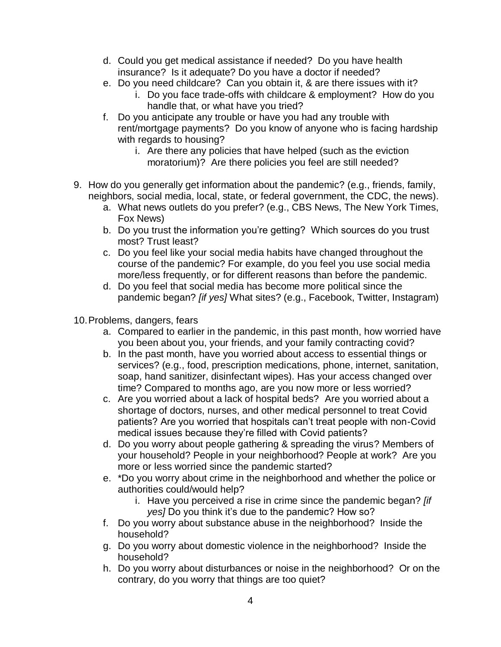- d. Could you get medical assistance if needed? Do you have health insurance? Is it adequate? Do you have a doctor if needed?
- e. Do you need childcare? Can you obtain it, & are there issues with it?
	- i. Do you face trade-offs with childcare & employment? How do you handle that, or what have you tried?
- f. Do you anticipate any trouble or have you had any trouble with rent/mortgage payments? Do you know of anyone who is facing hardship with regards to housing?
	- i. Are there any policies that have helped (such as the eviction moratorium)? Are there policies you feel are still needed?
- 9. How do you generally get information about the pandemic? (e.g., friends, family, neighbors, social media, local, state, or federal government, the CDC, the news).
	- a. What news outlets do you prefer? (e.g., CBS News, The New York Times, Fox News)
	- b. Do you trust the information you're getting? Which sources do you trust most? Trust least?
	- c. Do you feel like your social media habits have changed throughout the course of the pandemic? For example, do you feel you use social media more/less frequently, or for different reasons than before the pandemic.
	- d. Do you feel that social media has become more political since the pandemic began? *[if yes]* What sites? (e.g., Facebook, Twitter, Instagram)
- 10.Problems, dangers, fears
	- a. Compared to earlier in the pandemic, in this past month, how worried have you been about you, your friends, and your family contracting covid?
	- b. In the past month, have you worried about access to essential things or services? (e.g., food, prescription medications, phone, internet, sanitation, soap, hand sanitizer, disinfectant wipes). Has your access changed over time? Compared to months ago, are you now more or less worried?
	- c. Are you worried about a lack of hospital beds? Are you worried about a shortage of doctors, nurses, and other medical personnel to treat Covid patients? Are you worried that hospitals can't treat people with non-Covid medical issues because they're filled with Covid patients?
	- d. Do you worry about people gathering & spreading the virus? Members of your household? People in your neighborhood? People at work? Are you more or less worried since the pandemic started?
	- e. \*Do you worry about crime in the neighborhood and whether the police or authorities could/would help?
		- i. Have you perceived a rise in crime since the pandemic began? *[if yes]* Do you think it's due to the pandemic? How so?
	- f. Do you worry about substance abuse in the neighborhood? Inside the household?
	- g. Do you worry about domestic violence in the neighborhood? Inside the household?
	- h. Do you worry about disturbances or noise in the neighborhood? Or on the contrary, do you worry that things are too quiet?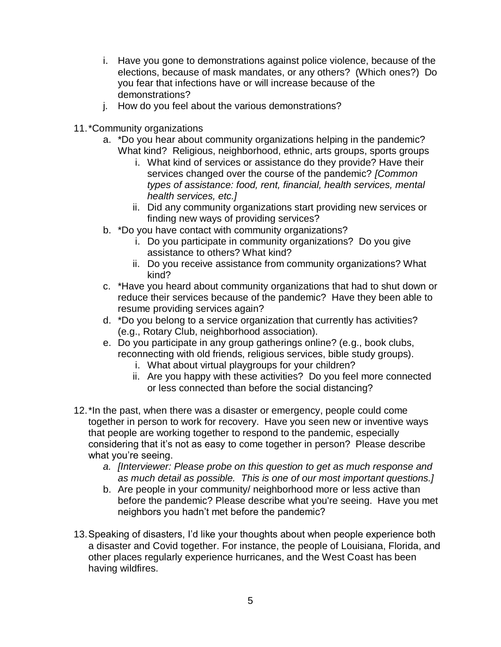- i. Have you gone to demonstrations against police violence, because of the elections, because of mask mandates, or any others? (Which ones?) Do you fear that infections have or will increase because of the demonstrations?
- j. How do you feel about the various demonstrations?
- 11.\*Community organizations
	- a. \*Do you hear about community organizations helping in the pandemic? What kind? Religious, neighborhood, ethnic, arts groups, sports groups
		- i. What kind of services or assistance do they provide? Have their services changed over the course of the pandemic? *[Common types of assistance: food, rent, financial, health services, mental health services, etc.]*
		- ii. Did any community organizations start providing new services or finding new ways of providing services?
	- b. \*Do you have contact with community organizations?
		- i. Do you participate in community organizations? Do you give assistance to others? What kind?
		- ii. Do you receive assistance from community organizations? What kind?
	- c. \*Have you heard about community organizations that had to shut down or reduce their services because of the pandemic? Have they been able to resume providing services again?
	- d. \*Do you belong to a service organization that currently has activities? (e.g., Rotary Club, neighborhood association).
	- e. Do you participate in any group gatherings online? (e.g., book clubs, reconnecting with old friends, religious services, bible study groups).
		- i. What about virtual playgroups for your children?
		- ii. Are you happy with these activities? Do you feel more connected or less connected than before the social distancing?
- 12.\*In the past, when there was a disaster or emergency, people could come together in person to work for recovery. Have you seen new or inventive ways that people are working together to respond to the pandemic, especially considering that it's not as easy to come together in person? Please describe what you're seeing.
	- *a. [Interviewer: Please probe on this question to get as much response and as much detail as possible. This is one of our most important questions.]*
	- b. Are people in your community/ neighborhood more or less active than before the pandemic? Please describe what you're seeing. Have you met neighbors you hadn't met before the pandemic?
- 13.Speaking of disasters, I'd like your thoughts about when people experience both a disaster and Covid together. For instance, the people of Louisiana, Florida, and other places regularly experience hurricanes, and the West Coast has been having wildfires.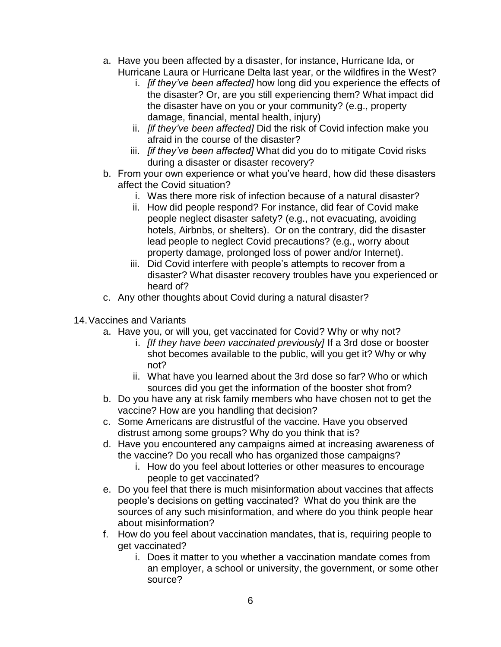- a. Have you been affected by a disaster, for instance, Hurricane Ida, or Hurricane Laura or Hurricane Delta last year, or the wildfires in the West?
	- i. *[if they've been affected]* how long did you experience the effects of the disaster? Or, are you still experiencing them? What impact did the disaster have on you or your community? (e.g., property damage, financial, mental health, injury)
	- ii. *[if they've been affected]* Did the risk of Covid infection make you afraid in the course of the disaster?
	- iii. *[if they've been affected]* What did you do to mitigate Covid risks during a disaster or disaster recovery?
- b. From your own experience or what you've heard, how did these disasters affect the Covid situation?
	- i. Was there more risk of infection because of a natural disaster?
	- ii. How did people respond? For instance, did fear of Covid make people neglect disaster safety? (e.g., not evacuating, avoiding hotels, Airbnbs, or shelters). Or on the contrary, did the disaster lead people to neglect Covid precautions? (e.g., worry about property damage, prolonged loss of power and/or Internet).
	- iii. Did Covid interfere with people's attempts to recover from a disaster? What disaster recovery troubles have you experienced or heard of?
- c. Any other thoughts about Covid during a natural disaster?
- 14.Vaccines and Variants
	- a. Have you, or will you, get vaccinated for Covid? Why or why not?
		- i. *[If they have been vaccinated previously]* If a 3rd dose or booster shot becomes available to the public, will you get it? Why or why not?
		- ii. What have you learned about the 3rd dose so far? Who or which sources did you get the information of the booster shot from?
	- b. Do you have any at risk family members who have chosen not to get the vaccine? How are you handling that decision?
	- c. Some Americans are distrustful of the vaccine. Have you observed distrust among some groups? Why do you think that is?
	- d. Have you encountered any campaigns aimed at increasing awareness of the vaccine? Do you recall who has organized those campaigns?
		- i. How do you feel about lotteries or other measures to encourage people to get vaccinated?
	- e. Do you feel that there is much misinformation about vaccines that affects people's decisions on getting vaccinated? What do you think are the sources of any such misinformation, and where do you think people hear about misinformation?
	- f. How do you feel about vaccination mandates, that is, requiring people to get vaccinated?
		- i. Does it matter to you whether a vaccination mandate comes from an employer, a school or university, the government, or some other source?